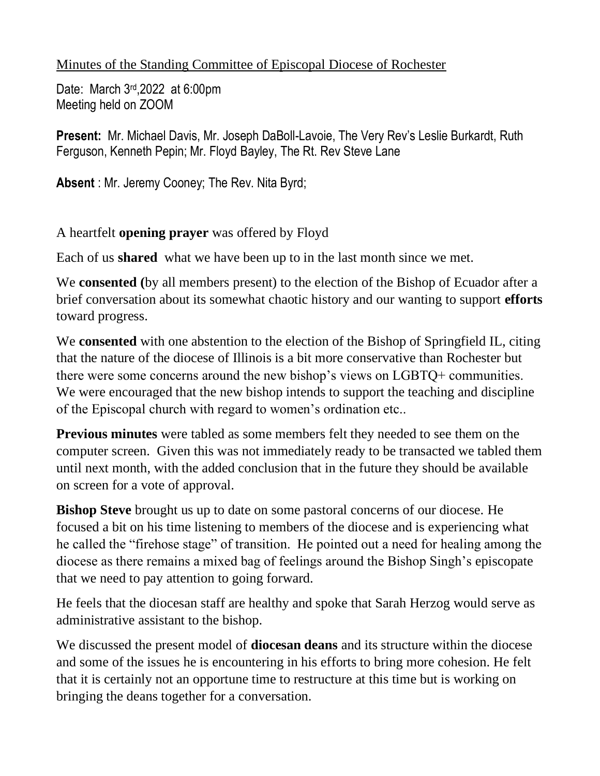## Minutes of the Standing Committee of Episcopal Diocese of Rochester

Date: March 3rd,2022 at 6:00pm Meeting held on ZOOM

**Present:** Mr. Michael Davis, Mr. Joseph DaBoll-Lavoie, The Very Rev's Leslie Burkardt, Ruth Ferguson, Kenneth Pepin; Mr. Floyd Bayley, The Rt. Rev Steve Lane

**Absent** : Mr. Jeremy Cooney; The Rev. Nita Byrd;

A heartfelt **opening prayer** was offered by Floyd

Each of us **shared** what we have been up to in the last month since we met.

We **consented (**by all members present) to the election of the Bishop of Ecuador after a brief conversation about its somewhat chaotic history and our wanting to support **efforts** toward progress.

We **consented** with one abstention to the election of the Bishop of Springfield IL, citing that the nature of the diocese of Illinois is a bit more conservative than Rochester but there were some concerns around the new bishop's views on LGBTQ+ communities. We were encouraged that the new bishop intends to support the teaching and discipline of the Episcopal church with regard to women's ordination etc..

**Previous minutes** were tabled as some members felt they needed to see them on the computer screen. Given this was not immediately ready to be transacted we tabled them until next month, with the added conclusion that in the future they should be available on screen for a vote of approval.

**Bishop Steve** brought us up to date on some pastoral concerns of our diocese. He focused a bit on his time listening to members of the diocese and is experiencing what he called the "firehose stage" of transition. He pointed out a need for healing among the diocese as there remains a mixed bag of feelings around the Bishop Singh's episcopate that we need to pay attention to going forward.

He feels that the diocesan staff are healthy and spoke that Sarah Herzog would serve as administrative assistant to the bishop.

We discussed the present model of **diocesan deans** and its structure within the diocese and some of the issues he is encountering in his efforts to bring more cohesion. He felt that it is certainly not an opportune time to restructure at this time but is working on bringing the deans together for a conversation.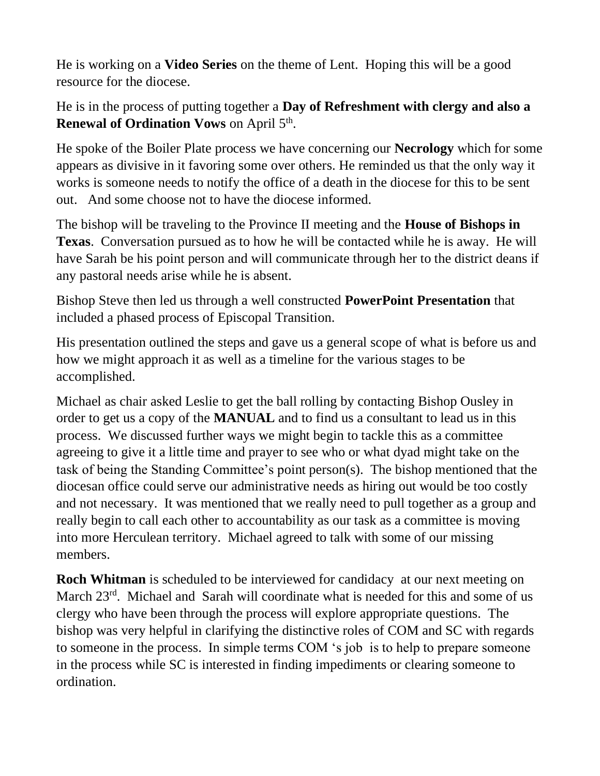He is working on a **Video Series** on the theme of Lent. Hoping this will be a good resource for the diocese.

He is in the process of putting together a **Day of Refreshment with clergy and also a Renewal of Ordination Vows** on April 5<sup>th</sup>.

He spoke of the Boiler Plate process we have concerning our **Necrology** which for some appears as divisive in it favoring some over others. He reminded us that the only way it works is someone needs to notify the office of a death in the diocese for this to be sent out. And some choose not to have the diocese informed.

The bishop will be traveling to the Province II meeting and the **House of Bishops in Texas**. Conversation pursued as to how he will be contacted while he is away. He will have Sarah be his point person and will communicate through her to the district deans if any pastoral needs arise while he is absent.

Bishop Steve then led us through a well constructed **PowerPoint Presentation** that included a phased process of Episcopal Transition.

His presentation outlined the steps and gave us a general scope of what is before us and how we might approach it as well as a timeline for the various stages to be accomplished.

Michael as chair asked Leslie to get the ball rolling by contacting Bishop Ousley in order to get us a copy of the **MANUAL** and to find us a consultant to lead us in this process. We discussed further ways we might begin to tackle this as a committee agreeing to give it a little time and prayer to see who or what dyad might take on the task of being the Standing Committee's point person(s). The bishop mentioned that the diocesan office could serve our administrative needs as hiring out would be too costly and not necessary. It was mentioned that we really need to pull together as a group and really begin to call each other to accountability as our task as a committee is moving into more Herculean territory. Michael agreed to talk with some of our missing members.

**Roch Whitman** is scheduled to be interviewed for candidacy at our next meeting on March 23<sup>rd</sup>. Michael and Sarah will coordinate what is needed for this and some of us clergy who have been through the process will explore appropriate questions. The bishop was very helpful in clarifying the distinctive roles of COM and SC with regards to someone in the process. In simple terms COM 's job is to help to prepare someone in the process while SC is interested in finding impediments or clearing someone to ordination.